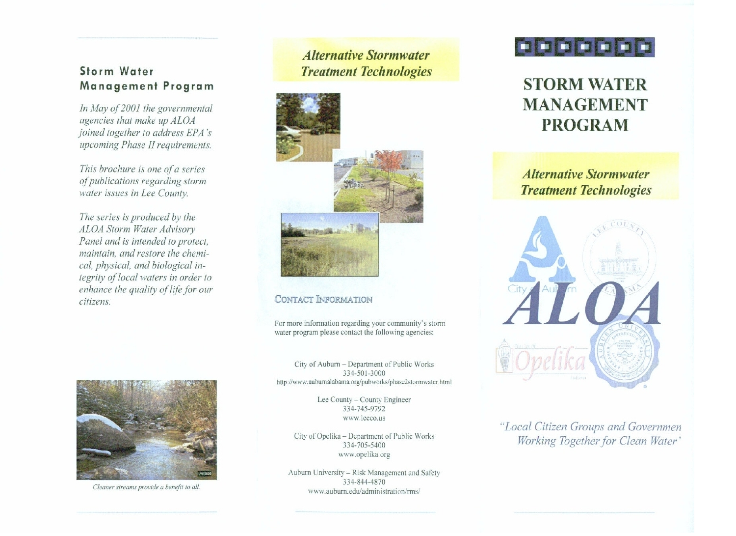## **Storm Water** Management Program

In May of 2001 the governmental agencies that make up ALOA joined together to address EPA's upcoming Phase II requirements.

This brochure is one of a series of publications regarding storm water issues in Lee County.

The series is produced by the ALOA Storm Water Advisory Panel and is intended to protect, maintain, and restore the chemical, physical, and biological integrity of local waters in order to enhance the quality of life for our citizens.



Cleaner streams provide a benefit to all.

# **Alternative Stormwater Treatment Technologies**



### CONTACT INFORMATION

For more information regarding your community's storm water program please contact the following agencies:

City of Auburn - Department of Public Works 334-501-3000 http://www.auburnalabama.org/pubworks/phase2stormwater.html

> Lee County - County Engineer 334-745-9792 www.leeco.us

City of Opelika - Department of Public Works 334-705-5400 www.opelika.org

Auburn University - Risk Management and Safety 334-844-4870 www.auburn.edu/administration/rms/



# **STORM WATER MANAGEMENT PROGRAM**

**Alternative Stormwater Treatment Technologies** 



"Local Citizen Groups and Governmen Working Together for Clean Water'